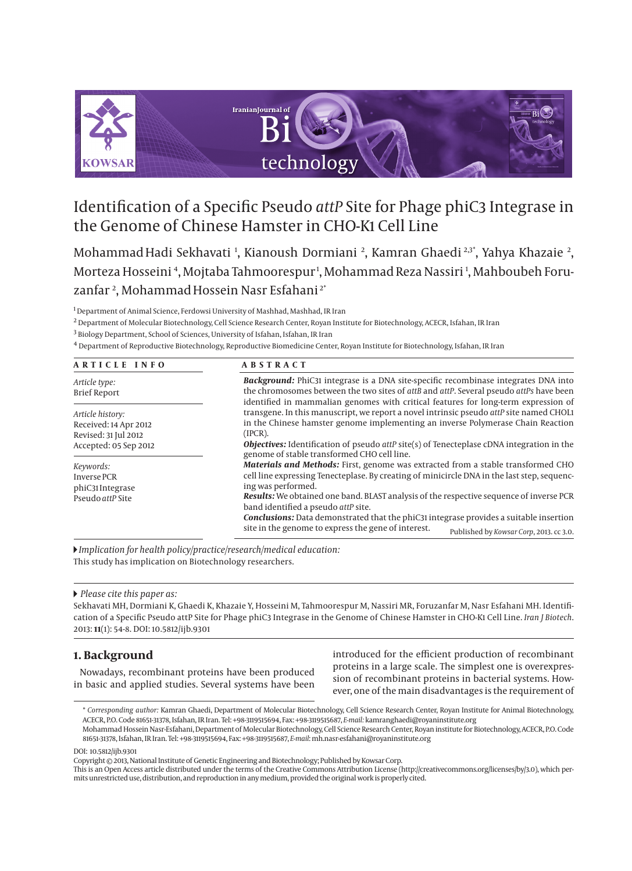

# Identification of a Specific Pseudo *attP* Site for Phage phiC3 Integrase in the Genome of Chinese Hamster in CHO-K1 Cell Line

MohammadHadi Sekhavati <sup>1</sup>, Kianoush Dormiani <sup>2</sup>, Kamran Ghaedi <sup>2,3</sup>°, Yahya Khazaie <sup>2</sup>, Morteza Hosseini <sup>4</sup>, Mojtaba Tahmoorespur <sup>1</sup>, Mohammad Reza Nassiri <sup>1</sup>, Mahboubeh Foruzanfar 2 , MohammadHossein Nasr Esfahani 2\*

1 Department of Animal Science, Ferdowsi University of Mashhad, Mashhad, IR Iran

2 Department of Molecular Biotechnology, Cell Science Research Center, Royan Institute for Biotechnology, ACECR, Isfahan, IR Iran

3 Biology Department, School of Sciences, University of Isfahan, Isfahan, IR Iran

4 Department of Reproductive Biotechnology, Reproductive Biomedicine Center, Royan Institute for Biotechnology, Isfahan, IR Iran

#### **ARTICLE INFO ABSTRACT**

|  | $\sim$ | . | 9 M.Y | $\sim$ |  |
|--|--------|---|-------|--------|--|
|  |        |   |       |        |  |

| Article type:<br><b>Brief Report</b> | <b>Background:</b> PhiC31 integrase is a DNA site-specific recombinase integrates DNA into<br>the chromosomes between the two sites of attB and attP. Several pseudo attPs have been<br>identified in mammalian genomes with critical features for long-term expression of<br>transgene. In this manuscript, we report a novel intrinsic pseudo attP site named CHOL1<br>in the Chinese hamster genome implementing an inverse Polymerase Chain Reaction<br>(IPCR).<br><b>Objectives:</b> Identification of pseudo <i>attP</i> site(s) of Tenecteplase cDNA integration in the<br>genome of stable transformed CHO cell line. |  |  |  |  |
|--------------------------------------|-------------------------------------------------------------------------------------------------------------------------------------------------------------------------------------------------------------------------------------------------------------------------------------------------------------------------------------------------------------------------------------------------------------------------------------------------------------------------------------------------------------------------------------------------------------------------------------------------------------------------------|--|--|--|--|
| Article history:                     |                                                                                                                                                                                                                                                                                                                                                                                                                                                                                                                                                                                                                               |  |  |  |  |
| Received: 14 Apr 2012                |                                                                                                                                                                                                                                                                                                                                                                                                                                                                                                                                                                                                                               |  |  |  |  |
| Revised: 31 Jul 2012                 |                                                                                                                                                                                                                                                                                                                                                                                                                                                                                                                                                                                                                               |  |  |  |  |
| Accepted: 05 Sep 2012                |                                                                                                                                                                                                                                                                                                                                                                                                                                                                                                                                                                                                                               |  |  |  |  |
| Keywords:                            | <b>Materials and Methods:</b> First, genome was extracted from a stable transformed CHO<br>cell line expressing Tenecteplase. By creating of minicircle DNA in the last step, sequenc-                                                                                                                                                                                                                                                                                                                                                                                                                                        |  |  |  |  |
| <b>Inverse PCR</b>                   |                                                                                                                                                                                                                                                                                                                                                                                                                                                                                                                                                                                                                               |  |  |  |  |
| phiC <sub>31</sub> Integrase         | ing was performed.                                                                                                                                                                                                                                                                                                                                                                                                                                                                                                                                                                                                            |  |  |  |  |
| Pseudo attP Site                     | <b>Results:</b> We obtained one band. BLAST analysis of the respective sequence of inverse PCR                                                                                                                                                                                                                                                                                                                                                                                                                                                                                                                                |  |  |  |  |
|                                      | band identified a pseudo attP site.                                                                                                                                                                                                                                                                                                                                                                                                                                                                                                                                                                                           |  |  |  |  |
|                                      | <b>Conclusions:</b> Data demonstrated that the phiC31 integrase provides a suitable insertion                                                                                                                                                                                                                                                                                                                                                                                                                                                                                                                                 |  |  |  |  |
|                                      | site in the genome to express the gene of interest.<br>Published by Kowsar Corp, 2013. cc 3.0.                                                                                                                                                                                                                                                                                                                                                                                                                                                                                                                                |  |  |  |  |

*Implication for health policy/practice/research/medical education:* This study has implication on Biotechnology researchers.

#### *Please cite this paper as:*

Sekhavati MH, Dormiani K, Ghaedi K, Khazaie Y, Hosseini M, Tahmoorespur M, Nassiri MR, Foruzanfar M, Nasr Esfahani MH. Identification of a Specific Pseudo attP Site for Phage phiC3 Integrase in the Genome of Chinese Hamster in CHO-K1 Cell Line. *Iran J Biotech*. 2013: **11**(1): 54-8. DOI: 10.5812/ijb.9301

# **1. Background**

Nowadays, recombinant proteins have been produced in basic and applied studies. Several systems have been introduced for the efficient production of recombinant proteins in a large scale. The simplest one is overexpression of recombinant proteins in bacterial systems. However, one of the main disadvantages is the requirement of

DOI: 10.5812/ijb.9301

This is an Open Access article distributed under the terms of the Creative Commons Attribution License (http://creativecommons.org/licenses/by/3.0), which permits unrestricted use, distribution, and reproduction in any medium, provided the original work is properly cited.

<sup>\*</sup> *Corresponding author:* Kamran Ghaedi, Department of Molecular Biotechnology, Cell Science Research Center, Royan Institute for Animal Biotechnology, ACECR, P.O. Code 81651-31378, Isfahan, IR Iran. Tel: +98-3119515694, Fax: +98-3119515687, *E-mail:* kamranghaedi@royaninstitute.org

Mohammad Hossein Nasr-Esfahani, Department of Molecular Biotechnology, Cell Science Research Center, Royan institute for Biotechnology, ACECR, P.O. Code 81651-31378, Isfahan, IR Iran. Tel: +98-3119515694, Fax: +98-3119515687, *E-mail*: mh.nasr-esfahani@royaninstitute.org

Copyright © 2013, National Institute of Genetic Engineering and Biotechnology; Published by Kowsar Corp.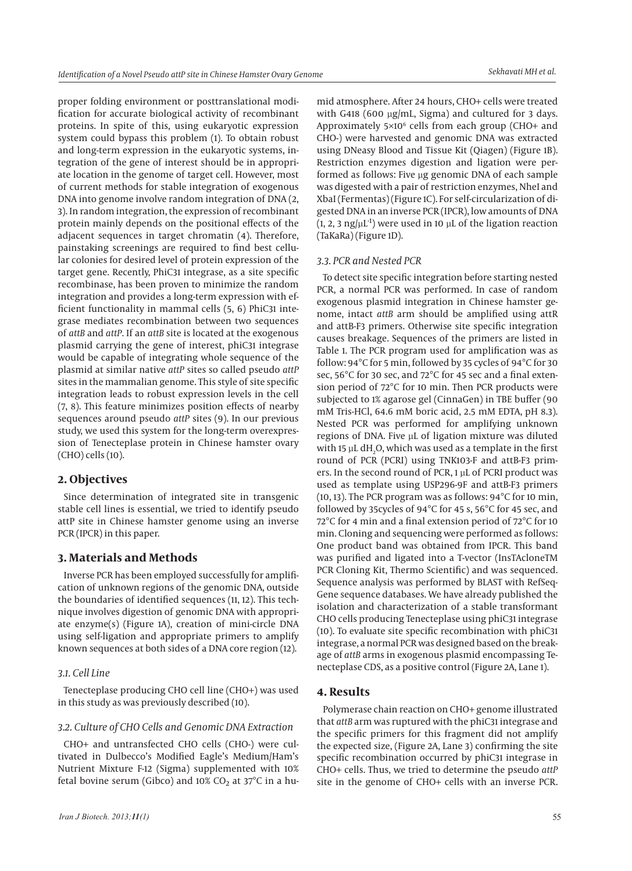proper folding environment or posttranslational modification for accurate biological activity of recombinant proteins. In spite of this, using eukaryotic expression system could bypass this problem (1). To obtain robust and long-term expression in the eukaryotic systems, integration of the gene of interest should be in appropriate location in the genome of target cell. However, most of current methods for stable integration of exogenous DNA into genome involve random integration of DNA (2, 3). In random integration, the expression of recombinant protein mainly depends on the positional effects of the adjacent sequences in target chromatin (4). Therefore, painstaking screenings are required to find best cellular colonies for desired level of protein expression of the target gene. Recently, PhiC31 integrase, as a site specific recombinase, has been proven to minimize the random integration and provides a long-term expression with efficient functionality in mammal cells (5, 6) PhiC31 integrase mediates recombination between two sequences of *attB* and *attP*. If an *attB* site is located at the exogenous plasmid carrying the gene of interest, phiC31 integrase would be capable of integrating whole sequence of the plasmid at similar native *attP* sites so called pseudo *attP*  sites in the mammalian genome. This style of site specific integration leads to robust expression levels in the cell (7, 8). This feature minimizes position effects of nearby sequences around pseudo *attP* sites (9). In our previous study, we used this system for the long-term overexpression of Tenecteplase protein in Chinese hamster ovary (CHO) cells (10).

# **2. Objectives**

Since determination of integrated site in transgenic stable cell lines is essential, we tried to identify pseudo attP site in Chinese hamster genome using an inverse PCR (IPCR) in this paper.

# **3. Materials and Methods**

Inverse PCR has been employed successfully for amplification of unknown regions of the genomic DNA, outside the boundaries of identified sequences (11, 12). This technique involves digestion of genomic DNA with appropriate enzyme(s) (Figure 1A), creation of mini-circle DNA using self-ligation and appropriate primers to amplify known sequences at both sides of a DNA core region (12).

## *3.1. Cell Line*

Tenecteplase producing CHO cell line (CHO+) was used in this study as was previously described (10).

## *3.2. Culture of CHO Cells and Genomic DNA Extraction*

CHO+ and untransfected CHO cells (CHO-) were cultivated in Dulbecco's Modified Eagle's Medium/Ham's Nutrient Mixture F-12 (Sigma) supplemented with 10% fetal bovine serum (Gibco) and  $10\%$  CO<sub>2</sub> at 37<sup>o</sup>C in a humid atmosphere. After 24 hours, CHO+ cells were treated with G418 (600 μg/mL, Sigma) and cultured for 3 days. Approximately 5×106 cells from each group (CHO+ and CHO-) were harvested and genomic DNA was extracted using DNeasy Blood and Tissue Kit (Qiagen) (Figure 1B). Restriction enzymes digestion and ligation were performed as follows: Five μg genomic DNA of each sample was digested with a pair of restriction enzymes, NheI and XbaI (Fermentas) (Figure 1C). For self-circularization of digested DNA in an inverse PCR (IPCR), low amounts of DNA  $(1, 2, 3 \text{ ng/µL}^{-1})$  were used in 10 µL of the ligation reaction (TaKaRa) (Figure 1D).

#### *3.3. PCR and Nested PCR*

To detect site specific integration before starting nested PCR, a normal PCR was performed. In case of random exogenous plasmid integration in Chinese hamster genome, intact *attB* arm should be amplified using attR and attB-F3 primers. Otherwise site specific integration causes breakage. Sequences of the primers are listed in Table 1. The PCR program used for amplification was as follow: 94°C for 5 min, followed by 35 cycles of 94°C for 30 sec, 56°C for 30 sec, and 72°C for 45 sec and a final extension period of 72°C for 10 min. Then PCR products were subjected to 1% agarose gel (CinnaGen) in TBE buffer (90 mM Tris-HCl, 64.6 mM boric acid, 2.5 mM EDTA, pH 8.3). Nested PCR was performed for amplifying unknown regions of DNA. Five μL of ligation mixture was diluted with 15  $\mu$ L dH<sub>2</sub>O, which was used as a template in the first round of PCR (PCRI) using TNK103-F and attB-F3 primers. In the second round of PCR, 1 μL of PCRI product was used as template using USP296-9F and attB-F3 primers (10, 13). The PCR program was as follows: 94°C for 10 min, followed by 35cycles of 94°C for 45 s, 56°C for 45 sec, and 72°C for 4 min and a final extension period of 72°C for 10 min. Cloning and sequencing were performed as follows: One product band was obtained from IPCR. This band was purified and ligated into a T-vector (InsTAcloneTM PCR Cloning Kit, Thermo Scientific) and was sequenced. Sequence analysis was performed by BLAST with RefSeq-Gene sequence databases. We have already published the isolation and characterization of a stable transformant CHO cells producing Tenecteplase using phiC31 integrase (10). To evaluate site specific recombination with phiC31 integrase, a normal PCR was designed based on the breakage of *attB* arms in exogenous plasmid encompassing Tenecteplase CDS, as a positive control (Figure 2A, Lane 1).

## **4. Results**

Polymerase chain reaction on CHO+ genome illustrated that *attB* arm was ruptured with the phiC31 integrase and the specific primers for this fragment did not amplify the expected size, (Figure 2A, Lane 3) confirming the site specific recombination occurred by phiC31 integrase in CHO+ cells. Thus, we tried to determine the pseudo *attP*  site in the genome of CHO+ cells with an inverse PCR.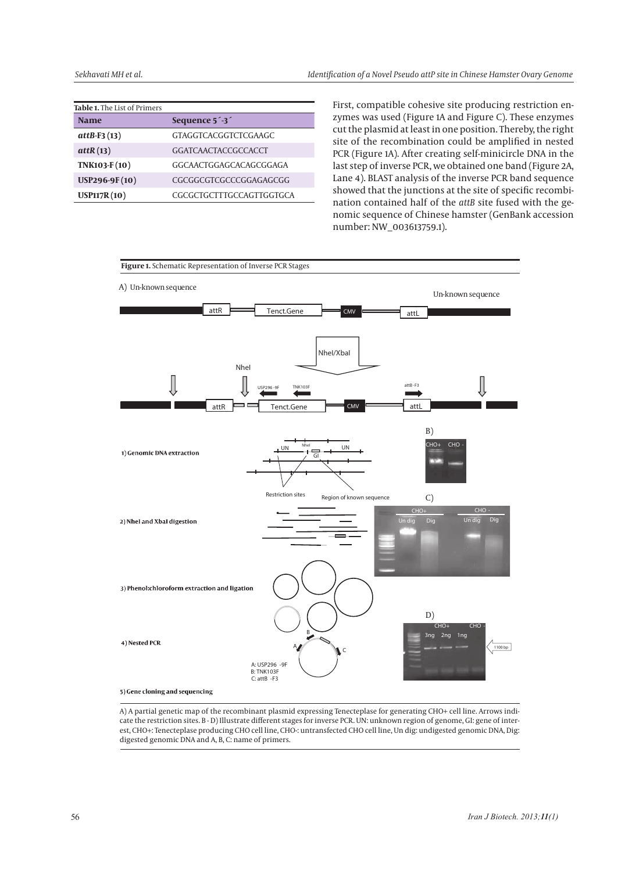| Table 1. The List of Primers |                                        |  |  |  |
|------------------------------|----------------------------------------|--|--|--|
| <b>Name</b>                  | Sequence 5 <sup>1</sup> 3 <sup>1</sup> |  |  |  |
| $attB-F3(13)$                | <b>GTAGGTCACGGTCTCGAAGC</b>            |  |  |  |
| atth(13)                     | GGATCAACTACCGCCACCT                    |  |  |  |
| TNK103-F(10)                 | GGCAACTGGAGCACAGCGGAGA                 |  |  |  |
| USP296-9F(10)                | CGCGGCGTCGCCCGGAGAGCGG                 |  |  |  |
| <b>USP117R(10)</b>           | CGCGCTGCTTTGCCAGTTGGTGCA               |  |  |  |
|                              |                                        |  |  |  |

First, compatible cohesive site producing restriction enzymes was used (Figure 1A and Figure C). These enzymes cut the plasmid at least in one position. Thereby, the right site of the recombination could be amplified in nested PCR (Figure 1A). After creating self-minicircle DNA in the last step of inverse PCR, we obtained one band (Figure 2A, Lane 4). BLAST analysis of the inverse PCR band sequence showed that the junctions at the site of specific recombination contained half of the *attB* site fused with the genomic sequence of Chinese hamster (GenBank accession number: NW\_003613759.1).



A) A partial genetic map of the recombinant plasmid expressing Tenecteplase for generating CHO+ cell line. Arrows indicate the restriction sites. B - D) Illustrate different stages for inverse PCR. UN: unknown region of genome, GI: gene of interest, CHO+: Tenecteplase producing CHO cell line, CHO-: untransfected CHO cell line, Un dig: undigested genomic DNA, Dig: producing CHO CHO cell DNA, Dig: digested genomic DNA and A, B, C: name of primers.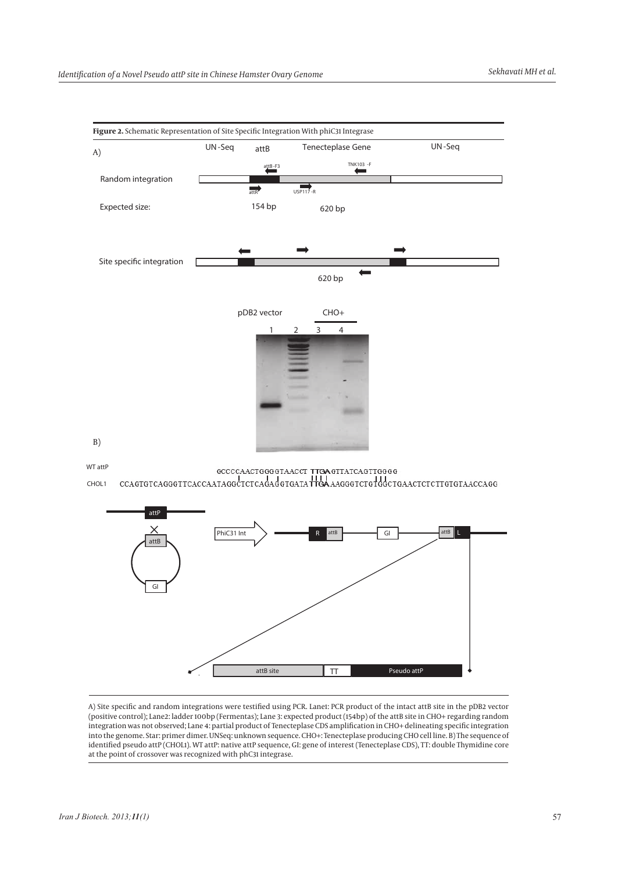

**WT attP** GCCCAACTGGGGTAACCT TTGAGTTATCAGTTGGGG<br>CCAGTGTCAGGGTTCACCAATAGGCTCTCAGAdGTGATATHGAAAGGGTCTGTGdGCTGAACTCTCTTGTGTAACCAGG **CHOL1** 



A) Site specific and random integrations were testified using PCR. Lane1: PCR product of the intact attB site in the pDB2 vector (positive control); Lane2: ladder 100bp (Fermentas); Lane 3: expected product (154bp) of the attB site in CHO+ regarding random integration was not observed; Lane 4: partial product of Tenecteplase CDS amplification in CHO+ delineating specific integration into the genome. Star: primer dimer. UNSeq: unknown sequence. CHO+: Tenecteplase producing CHO cell line. B) The sequence of identified pseudo attP (CHOL1). WT attP: native attP sequence, GI: gene of interest (Tenecteplase CDS), TT: double Thymidine core at the point of crossover was recognized with phC31 integrase.

A) Site specific and random integrations were testified using PCR. Lane1: PCR product of the intact *attB* site in the pDB2 vector